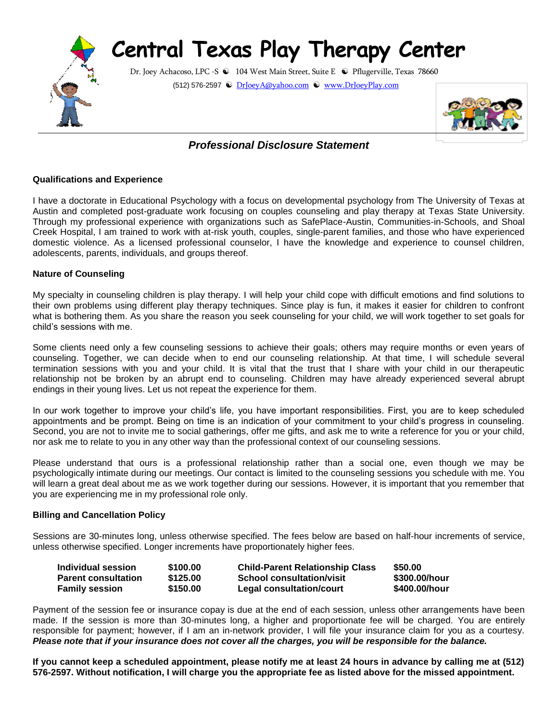# **Central Texas Play Therapy Center**



Dr. Joey Achacoso, LPC -S <sup>●</sup> 104 West Main Street, Suite E <sup>●</sup> Pflugerville, Texas 78660 (512) 576-2597 [DrJoeyA@yahoo.com](mailto:DrJoeyA@yahoo.com) [www.DrJoeyPlay.com](http://www.drjoeyplay.com/)



# *Professional Disclosure Statement*

### **Qualifications and Experience**

I have a doctorate in Educational Psychology with a focus on developmental psychology from The University of Texas at Austin and completed post-graduate work focusing on couples counseling and play therapy at Texas State University. Through my professional experience with organizations such as SafePlace-Austin, Communities-in-Schools, and Shoal Creek Hospital, I am trained to work with at-risk youth, couples, single-parent families, and those who have experienced domestic violence. As a licensed professional counselor, I have the knowledge and experience to counsel children, adolescents, parents, individuals, and groups thereof.

#### **Nature of Counseling**

My specialty in counseling children is play therapy. I will help your child cope with difficult emotions and find solutions to their own problems using different play therapy techniques. Since play is fun, it makes it easier for children to confront what is bothering them. As you share the reason you seek counseling for your child, we will work together to set goals for child's sessions with me.

Some clients need only a few counseling sessions to achieve their goals; others may require months or even years of counseling. Together, we can decide when to end our counseling relationship. At that time, I will schedule several termination sessions with you and your child. It is vital that the trust that I share with your child in our therapeutic relationship not be broken by an abrupt end to counseling. Children may have already experienced several abrupt endings in their young lives. Let us not repeat the experience for them.

In our work together to improve your child's life, you have important responsibilities. First, you are to keep scheduled appointments and be prompt. Being on time is an indication of your commitment to your child's progress in counseling. Second, you are not to invite me to social gatherings, offer me gifts, and ask me to write a reference for you or your child, nor ask me to relate to you in any other way than the professional context of our counseling sessions.

Please understand that ours is a professional relationship rather than a social one, even though we may be psychologically intimate during our meetings. Our contact is limited to the counseling sessions you schedule with me. You will learn a great deal about me as we work together during our sessions. However, it is important that you remember that you are experiencing me in my professional role only.

#### **Billing and Cancellation Policy**

Sessions are 30-minutes long, unless otherwise specified. The fees below are based on half-hour increments of service, unless otherwise specified. Longer increments have proportionately higher fees.

| Individual session         | \$100.00 | <b>Child-Parent Relationship Class</b> | \$50.00       |
|----------------------------|----------|----------------------------------------|---------------|
| <b>Parent consultation</b> | \$125.00 | School consultation/visit              | \$300.00/hour |
| <b>Family session</b>      | \$150.00 | Legal consultation/court               | \$400.00/hour |

Payment of the session fee or insurance copay is due at the end of each session, unless other arrangements have been made. If the session is more than 30-minutes long, a higher and proportionate fee will be charged. You are entirely responsible for payment; however, if I am an in-network provider, I will file your insurance claim for you as a courtesy. *Please note that if your insurance does not cover all the charges, you will be responsible for the balance.*

**If you cannot keep a scheduled appointment, please notify me at least 24 hours in advance by calling me at (512) 576-2597. Without notification, I will charge you the appropriate fee as listed above for the missed appointment.**